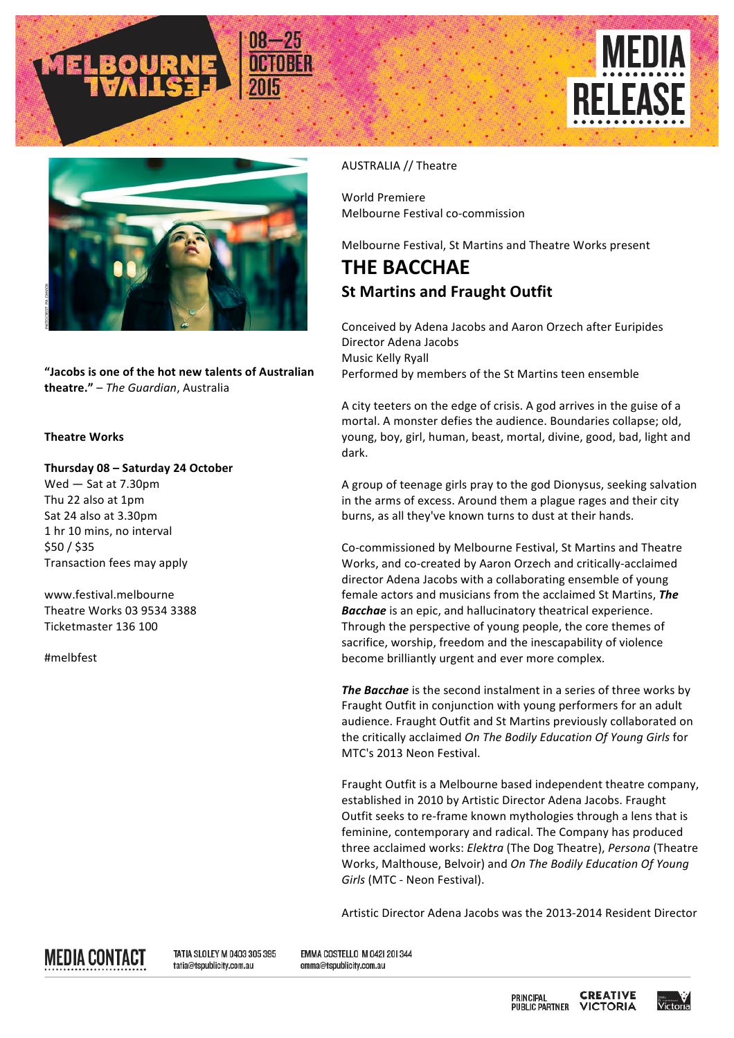





"Jacobs is one of the hot new talents of Australian **theatre."** – *The Guardian*, Australia

## **Theatre Works**

**Thursday 08 – Saturday 24 October** Wed  $-$  Sat at 7.30pm Thu 22 also at 1pm Sat 24 also at 3.30pm 1 hr 10 mins, no interval \$50 / \$35 Transaction fees may apply

www.festival.melbourne Theatre Works 03 9534 3388 Ticketmaster 136 100

#melbfest

## AUSTRALIA // Theatre

World Premiere Melbourne Festival co-commission

Melbourne Festival, St Martins and Theatre Works present

## **THE BACCHAE St Martins and Fraught Outfit**

Conceived by Adena Jacobs and Aaron Orzech after Euripides Director Adena Jacobs Music Kelly Ryall Performed by members of the St Martins teen ensemble

A city teeters on the edge of crisis. A god arrives in the guise of a mortal. A monster defies the audience. Boundaries collapse; old, young, boy, girl, human, beast, mortal, divine, good, bad, light and dark.

A group of teenage girls pray to the god Dionysus, seeking salvation in the arms of excess. Around them a plague rages and their city burns, as all they've known turns to dust at their hands.

Co-commissioned by Melbourne Festival, St Martins and Theatre Works, and co-created by Aaron Orzech and critically-acclaimed director Adena Jacobs with a collaborating ensemble of young female actors and musicians from the acclaimed St Martins, The **Bacchae** is an epic, and hallucinatory theatrical experience. Through the perspective of young people, the core themes of sacrifice, worship, freedom and the inescapability of violence become brilliantly urgent and ever more complex.

**The Bacchae** is the second instalment in a series of three works by Fraught Outfit in conjunction with young performers for an adult audience. Fraught Outfit and St Martins previously collaborated on the critically acclaimed *On The Bodily Education Of Young Girls* for MTC's 2013 Neon Festival.

Fraught Outfit is a Melbourne based independent theatre company, established in 2010 by Artistic Director Adena Jacobs. Fraught Outfit seeks to re-frame known mythologies through a lens that is feminine, contemporary and radical. The Company has produced three acclaimed works: *Elektra* (The Dog Theatre), *Persona* (Theatre Works, Malthouse, Belvoir) and *On The Bodily Education Of Young* Girls (MTC - Neon Festival).

Artistic Director Adena Jacobs was the 2013-2014 Resident Director



TATIA SLOLEY M 0403 305 395 tatia@tspublicity.com.au

EMMA COSTELLO M 0421 201344 emma@tspublicity.com.au